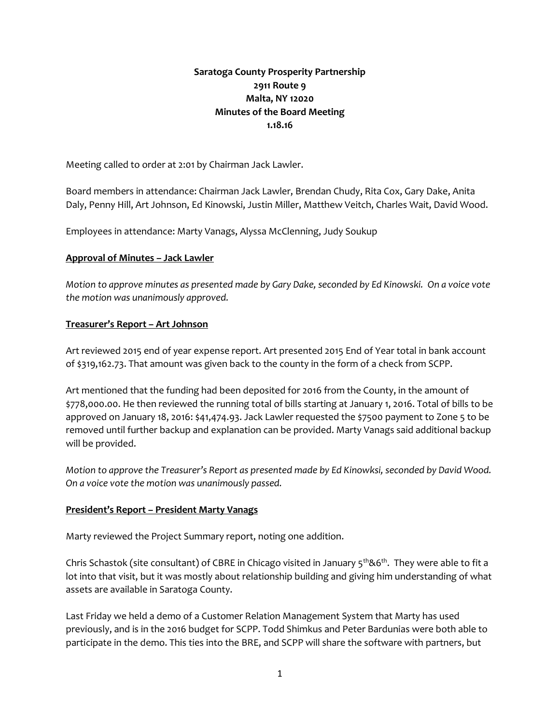# **Saratoga County Prosperity Partnership 2911 Route 9 Malta, NY 12020 Minutes of the Board Meeting 1.18.16**

Meeting called to order at 2:01 by Chairman Jack Lawler.

Board members in attendance: Chairman Jack Lawler, Brendan Chudy, Rita Cox, Gary Dake, Anita Daly, Penny Hill, Art Johnson, Ed Kinowski, Justin Miller, Matthew Veitch, Charles Wait, David Wood.

Employees in attendance: Marty Vanags, Alyssa McClenning, Judy Soukup

#### **Approval of Minutes – Jack Lawler**

*Motion to approve minutes as presented made by Gary Dake, seconded by Ed Kinowski. On a voice vote the motion was unanimously approved.*

### **Treasurer's Report – Art Johnson**

Art reviewed 2015 end of year expense report. Art presented 2015 End of Year total in bank account of \$319,162.73. That amount was given back to the county in the form of a check from SCPP.

Art mentioned that the funding had been deposited for 2016 from the County, in the amount of \$778,000.00. He then reviewed the running total of bills starting at January 1, 2016. Total of bills to be approved on January 18, 2016: \$41,474.93. Jack Lawler requested the \$7500 payment to Zone 5 to be removed until further backup and explanation can be provided. Marty Vanags said additional backup will be provided.

*Motion to approve the Treasurer's Report as presented made by Ed Kinowksi, seconded by David Wood. On a voice vote the motion was unanimously passed.*

### **President's Report – President Marty Vanags**

Marty reviewed the Project Summary report, noting one addition.

Chris Schastok (site consultant) of CBRE in Chicago visited in January 5<sup>th</sup>&6<sup>th</sup>. They were able to fit a lot into that visit, but it was mostly about relationship building and giving him understanding of what assets are available in Saratoga County.

Last Friday we held a demo of a Customer Relation Management System that Marty has used previously, and is in the 2016 budget for SCPP. Todd Shimkus and Peter Bardunias were both able to participate in the demo. This ties into the BRE, and SCPP will share the software with partners, but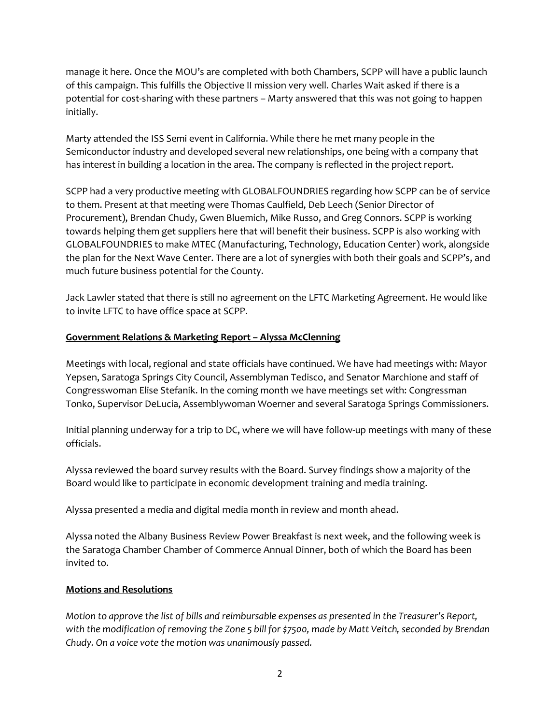manage it here. Once the MOU's are completed with both Chambers, SCPP will have a public launch of this campaign. This fulfills the Objective II mission very well. Charles Wait asked if there is a potential for cost-sharing with these partners – Marty answered that this was not going to happen initially.

Marty attended the ISS Semi event in California. While there he met many people in the Semiconductor industry and developed several new relationships, one being with a company that has interest in building a location in the area. The company is reflected in the project report.

SCPP had a very productive meeting with GLOBALFOUNDRIES regarding how SCPP can be of service to them. Present at that meeting were Thomas Caulfield, Deb Leech (Senior Director of Procurement), Brendan Chudy, Gwen Bluemich, Mike Russo, and Greg Connors. SCPP is working towards helping them get suppliers here that will benefit their business. SCPP is also working with GLOBALFOUNDRIES to make MTEC (Manufacturing, Technology, Education Center) work, alongside the plan for the Next Wave Center. There are a lot of synergies with both their goals and SCPP's, and much future business potential for the County.

Jack Lawler stated that there is still no agreement on the LFTC Marketing Agreement. He would like to invite LFTC to have office space at SCPP.

### **Government Relations & Marketing Report - Alyssa McClenning**

Meetings with local, regional and state officials have continued. We have had meetings with: Mayor Yepsen, Saratoga Springs City Council, Assemblyman Tedisco, and Senator Marchione and staff of Congresswoman Elise Stefanik. In the coming month we have meetings set with: Congressman Tonko, Supervisor DeLucia, Assemblywoman Woerner and several Saratoga Springs Commissioners.

Initial planning underway for a trip to DC, where we will have follow-up meetings with many of these officials.

Alyssa reviewed the board survey results with the Board. Survey findings show a majority of the Board would like to participate in economic development training and media training.

Alyssa presented a media and digital media month in review and month ahead.

Alyssa noted the Albany Business Review Power Breakfast is next week, and the following week is the Saratoga Chamber Chamber of Commerce Annual Dinner, both of which the Board has been invited to.

#### **Motions and Resolutions**

*Motion to approve the list of bills and reimbursable expenses as presented in the Treasurer's Report, with the modification of removing the Zone 5 bill for \$7500, made by Matt Veitch, seconded by Brendan Chudy. On a voice vote the motion was unanimously passed.*